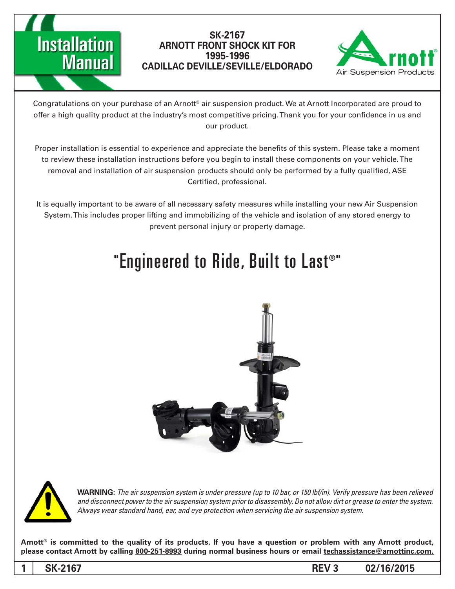



Congratulations on your purchase of an Arnott® air suspension product. We at Arnott Incorporated are proud to offer a high quality product at the industry's most competitive pricing. Thank you for your confidence in us and our product.

Proper installation is essential to experience and appreciate the benefits of this system. Please take a moment to review these installation instructions before you begin to install these components on your vehicle. The removal and installation of air suspension products should only be performed by a fully qualified, ASE Certified, professional.

It is equally important to be aware of all necessary safety measures while installing your new Air Suspension System. This includes proper lifting and immobilizing of the vehicle and isolation of any stored energy to prevent personal injury or property damage.

# "Engineered to Ride, Built to Last®"





*WARNING: The air suspension system is under pressure (up to 10 bar, or 150 lbf/in). Verify pressure has been relieved* and disconnect power to the air suspension system prior to disassembly. Do not allow dirt or grease to enter the system. Always wear standard hand, ear, and eye protection when servicing the air suspension system.

Arnott<sup>®</sup> is committed to the quality of its products. If you have a question or problem with any Arnott product, please contact Arnott by calling 800-251-8993 during normal business hours or email techassistance@arnottinc.com.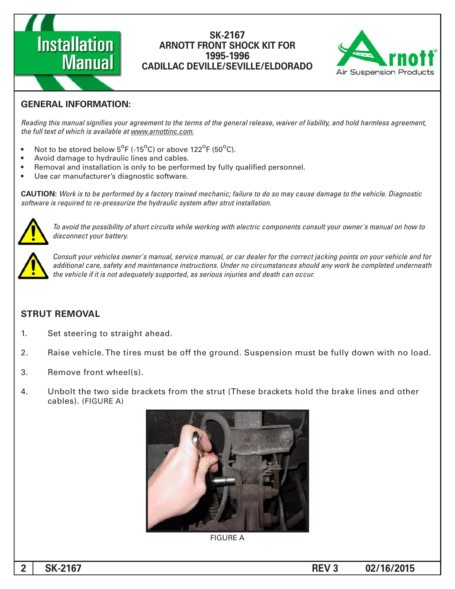



# **GENERAL INFORMATION:**

Reading this manual signifies your agreement to the terms of the general release, waiver of liability, and hold harmless agreement, the full text of which is available at www.arnottinc.com.

- Not to be stored below  $5^{\circ}$ F (-15 $^{\circ}$ C) or above 122 $^{\circ}$ F (50 $^{\circ}$ C).
- Avoid damage to hydraulic lines and cables.
- Removal and installation is only to be performed by fully qualified personnel.
- Use car manufacturer's diagnostic software.

 *Diagnostic .vehicle the to damage cause may so do to failure; mechanic trained factory a by performed be to is Work* **:CAUTION** software is required to re-pressurize the hydraulic system after strut installation.



 *to how on manual s'owner your consult components electric with working while circuits short of possibility the avoid To .battery your disconnect*



*Consult your vehicles owner's manual, service manual, or car dealer for the correct jacking points on your vehicle and for* additional care, safety and maintenance instructions. Under no circumstances should any work be completed underneath the vehicle if it is not adequately supported, as serious injuries and death can occur.

# **STRUT REMOVAL**

- 1. Set steering to straight ahead.
- 2. Baise vehicle. The tires must be off the ground. Suspension must be fully down with no load.
- 3. Remove front wheel(s).
- 4. Unbolt the two side brackets from the strut (These brackets hold the brake lines and other cables). (FIGURE A)



**FIGURE A**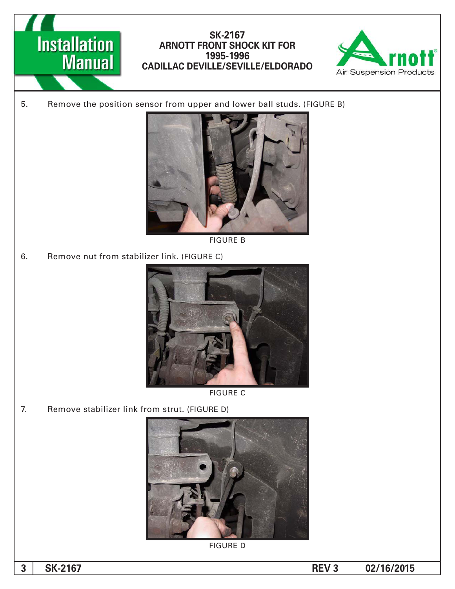



5. Remove the position sensor from upper and lower ball studs. (FIGURE B)



**FIGURE B** 

6. Remove nut from stabilizer link. (FIGURE C)





7. Remove stabilizer link from strut. (FIGURE D)



**FIGURE D**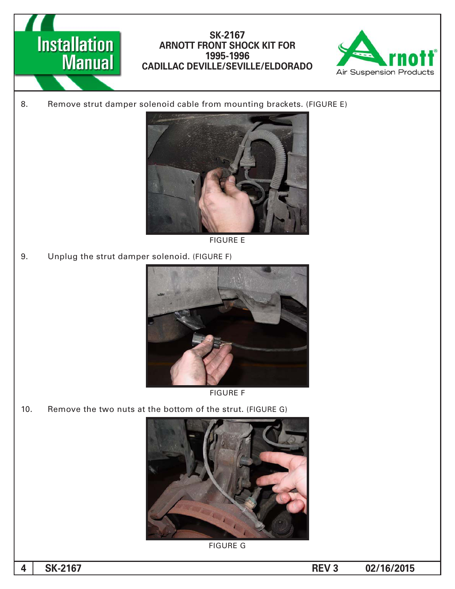



8. Remove strut damper solenoid cable from mounting brackets. (FIGURE E)



**FIGURE E** 

9. Unplug the strut damper solenoid. (FIGURE F)



**FIGURE F** 

10. Remove the two nuts at the bottom of the strut. (FIGURE G)



**FIGURE G**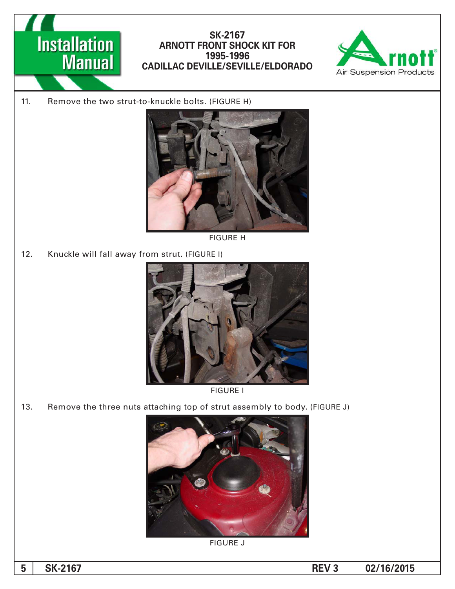



11. Remove the two strut-to-knuckle bolts. (FIGURE H)



**FIGURE H** 

12. Knuckle will fall away from strut. (FIGURE I)





13. Remove the three nuts attaching top of strut assembly to body. (FIGURE J)



**FIGURE J**